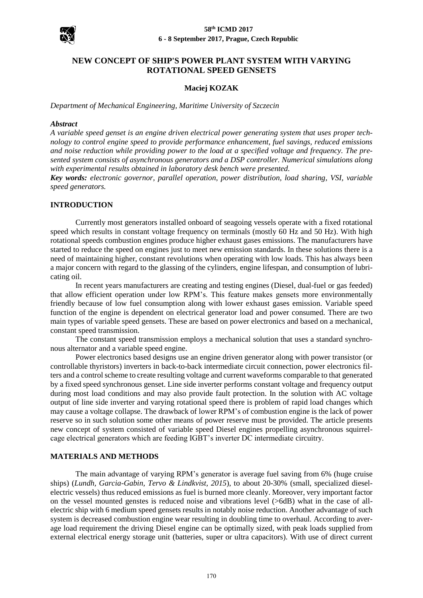

# **NEW CONCEPT OF SHIP'S POWER PLANT SYSTEM WITH VARYING ROTATIONAL SPEED GENSETS**

### **Maciej KOZAK**

*Department of Mechanical Engineering, Maritime University of Szczecin*

#### *Abstract*

*A variable speed genset is an engine driven electrical power generating system that uses proper technology to control engine speed to provide performance enhancement, fuel savings, reduced emissions and noise reduction while providing power to the load at a specified voltage and frequency. The presented system consists of asynchronous generators and a DSP controller. Numerical simulations along with experimental results obtained in laboratory desk bench were presented.*

*Key words: electronic governor, parallel operation, power distribution, load sharing, VSI, variable speed generators.*

#### **INTRODUCTION**

Currently most generators installed onboard of seagoing vessels operate with a fixed rotational speed which results in constant voltage frequency on terminals (mostly 60 Hz and 50 Hz). With high rotational speeds combustion engines produce higher exhaust gases emissions. The manufacturers have started to reduce the speed on engines just to meet new emission standards. In these solutions there is a need of maintaining higher, constant revolutions when operating with low loads. This has always been a major concern with regard to the glassing of the cylinders, engine lifespan, and consumption of lubricating oil.

In recent years manufacturers are creating and testing engines (Diesel, dual-fuel or gas feeded) that allow efficient operation under low RPM's. This feature makes gensets more environmentally friendly because of low fuel consumption along with lower exhaust gases emission. Variable speed function of the engine is dependent on electrical generator load and power consumed. There are two main types of variable speed gensets. These are based on power electronics and based on a mechanical, constant speed transmission.

The constant speed transmission employs a mechanical solution that uses a standard synchronous alternator and a variable speed engine.

Power electronics based designs use an engine driven generator along with power transistor (or controllable thyristors) inverters in back-to-back intermediate circuit connection, power electronics filters and a control scheme to create resulting voltage and current waveforms comparable to that generated by a fixed speed synchronous genset. Line side inverter performs constant voltage and frequency output during most load conditions and may also provide fault protection. In the solution with AC voltage output of line side inverter and varying rotational speed there is problem of rapid load changes which may cause a voltage collapse. The drawback of lower RPM's of combustion engine is the lack of power reserve so in such solution some other means of power reserve must be provided. The article presents new concept of system consisted of variable speed Diesel engines propelling asynchronous squirrelcage electrical generators which are feeding IGBT's inverter DC intermediate circuitry.

#### **MATERIALS AND METHODS**

The main advantage of varying RPM's generator is average fuel saving from 6% (huge cruise ships) (*Lundh, Garcia-Gabin, Tervo & Lindkvist, 2015*), to about 20-30% (small, specialized dieselelectric vessels) thus reduced emissions as fuel is burned more cleanly. Moreover, very important factor on the vessel mounted genstes is reduced noise and vibrations level (>6dB) what in the case of allelectric ship with 6 medium speed gensets results in notably noise reduction. Another advantage of such system is decreased combustion engine wear resulting in doubling time to overhaul. According to average load requirement the driving Diesel engine can be optimally sized, with peak loads supplied from external electrical energy storage unit (batteries, super or ultra capacitors). With use of direct current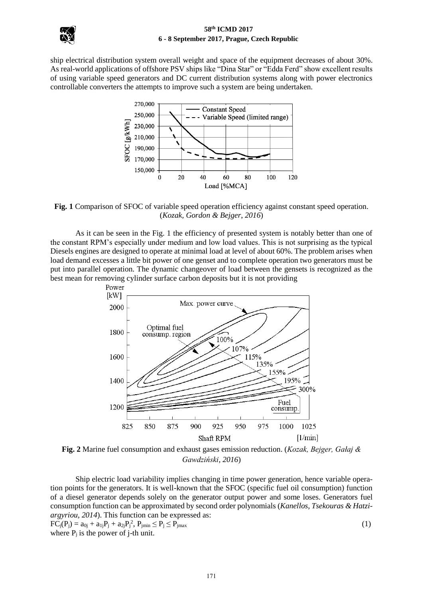

ship electrical distribution system overall weight and space of the equipment decreases of about 30%. As real-world applications of offshore PSV ships like "Dina Star" or "Edda Ferd" show excellent results of using variable speed generators and DC current distribution systems along with power electronics controllable converters the attempts to improve such a system are being undertaken.



**Fig. 1** Comparison of SFOC of variable speed operation efficiency against constant speed operation. (*Kozak, Gordon & Bejger*, *2016*)

As it can be seen in the Fig. 1 the efficiency of presented system is notably better than one of the constant RPM's especially under medium and low load values. This is not surprising as the typical Diesels engines are designed to operate at minimal load at level of about 60%. The problem arises when load demand excesses a little bit power of one genset and to complete operation two generators must be put into parallel operation. The dynamic changeover of load between the gensets is recognized as the best mean for removing cylinder surface carbon deposits but it is not providing



**Fig. 2** Marine fuel consumption and exhaust gases emission reduction. (*Kozak, Bejger, Gałaj & Gawdziński*, *2016*)

Ship electric load variability implies changing in time power generation, hence variable operation points for the generators. It is well-known that the SFOC (specific fuel oil consumption) function of a diesel generator depends solely on the generator output power and some loses. Generators fuel consumption function can be approximated by second order polynomials (*Kanellos, Tsekouras & Hatziargyriou, 2014*). This function can be expressed as:  $FC_j(P_j) = a_{0j} + a_{1j}P_j + a_{2j}P_j^2$ ,  $P_{jmin} \le P_j \le P_{jmax}$  (1) where  $P_i$  is the power of j-th unit.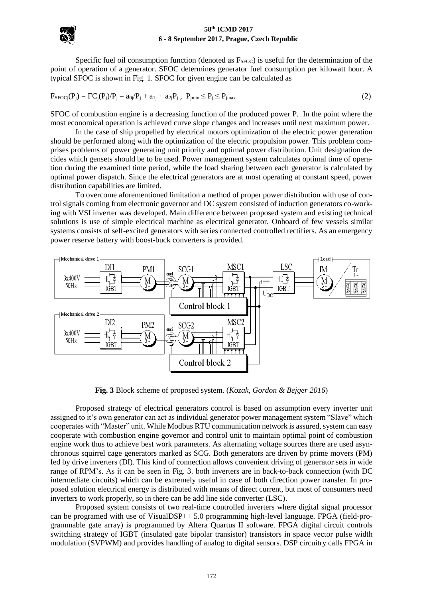

Specific fuel oil consumption function (denoted as  $F<sub>SFOC</sub>$ ) is useful for the determination of the point of operation of a generator. SFOC determines generator fuel consumption per kilowatt hour. A typical SFOC is shown in Fig. 1. SFOC for given engine can be calculated as

$$
F_{SFOCj}(P_j) = FC_j(P_j)/P_j = a_{0j}/P_j + a_{1j} + a_{2j}P_j, \ P_{jmin} \le P_j \le P_{jmax}
$$
\n(2)

SFOC of combustion engine is a decreasing function of the produced power P. In the point where the most economical operation is achieved curve slope changes and increases until next maximum power.

In the case of ship propelled by electrical motors optimization of the electric power generation should be performed along with the optimization of the electric propulsion power. This problem comprises problems of power generating unit priority and optimal power distribution. Unit designation decides which gensets should be to be used. Power management system calculates optimal time of operation during the examined time period, while the load sharing between each generator is calculated by optimal power dispatch. Since the electrical generators are at most operating at constant speed, power distribution capabilities are limited.

To overcome aforementioned limitation a method of proper power distribution with use of control signals coming from electronic governor and DC system consisted of induction generators co-working with VSI inverter was developed. Main difference between proposed system and existing technical solutions is use of simple electrical machine as electrical generator. Onboard of few vessels similar systems consists of self-excited generators with series connected controlled rectifiers. As an emergency power reserve battery with boost-buck converters is provided.



**Fig. 3** Block scheme of proposed system. (*Kozak, Gordon & Bejger 2016*)

Proposed strategy of electrical generators control is based on assumption every inverter unit assigned to it's own generator can act as individual generator power management system "Slave" which cooperates with "Master" unit. While Modbus RTU communication network is assured, system can easy cooperate with combustion engine governor and control unit to maintain optimal point of combustion engine work thus to achieve best work parameters. As alternating voltage sources there are used asynchronous squirrel cage generators marked as SCG. Both generators are driven by prime movers (PM) fed by drive inverters (DI). This kind of connection allows convenient driving of generator sets in wide range of RPM's. As it can be seen in Fig. 3. both inverters are in back-to-back connection (with DC intermediate circuits) which can be extremely useful in case of both direction power transfer. In proposed solution electrical energy is distributed with means of direct current, but most of consumers need inverters to work properly, so in there can be add line side converter (LSC).

Proposed system consists of two real-time controlled inverters where digital signal processor can be programed with use of VisualDSP++ 5.0 programming high-level language. FPGA (field-programmable gate array) is programmed by Altera Quartus II software. FPGA digital circuit controls switching strategy of IGBT (insulated gate bipolar transistor) transistors in space vector pulse width modulation (SVPWM) and provides handling of analog to digital sensors. DSP circuitry calls FPGA in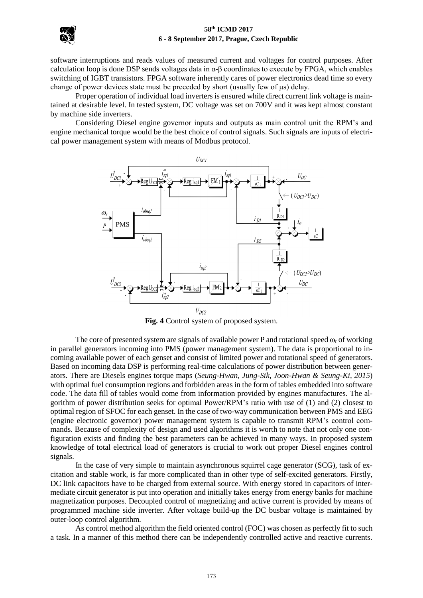

software interruptions and reads values of measured current and voltages for control purposes. After calculation loop is done DSP sends voltages data in  $\alpha$ - $\beta$  coordinates to execute by FPGA, which enables switching of IGBT transistors. FPGA software inherently cares of power electronics dead time so every change of power devices state must be preceded by short (usually few of μs) delay.

Proper operation of individual load inverters is ensured while direct current link voltage is maintained at desirable level. In tested system, DC voltage was set on 700V and it was kept almost constant by machine side inverters.

Considering Diesel engine governor inputs and outputs as main control unit the RPM's and engine mechanical torque would be the best choice of control signals. Such signals are inputs of electrical power management system with means of Modbus protocol.



**Fig. 4** Control system of proposed system.

The core of presented system are signals of available power P and rotational speed  $\omega_r$  of working in parallel generators incoming into PMS (power management system). The data is proportional to incoming available power of each genset and consist of limited power and rotational speed of generators. Based on incoming data DSP is performing real-time calculations of power distribution between generators. There are Diesels engines torque maps (*Seung-Hwan, Jung-Sik, Joon-Hwan & Seung-Ki, 2015*) with optimal fuel consumption regions and forbidden areas in the form of tables embedded into software code. The data fill of tables would come from information provided by engines manufactures. The algorithm of power distribution seeks for optimal Power/RPM's ratio with use of (1) and (2) closest to optimal region of SFOC for each genset. In the case of two-way communication between PMS and EEG (engine electronic governor) power management system is capable to transmit RPM's control commands. Because of complexity of design and used algorithms it is worth to note that not only one configuration exists and finding the best parameters can be achieved in many ways. In proposed system knowledge of total electrical load of generators is crucial to work out proper Diesel engines control signals.

In the case of very simple to maintain asynchronous squirrel cage generator (SCG), task of excitation and stable work, is far more complicated than in other type of self-excited generators. Firstly, DC link capacitors have to be charged from external source. With energy stored in capacitors of intermediate circuit generator is put into operation and initially takes energy from energy banks for machine magnetization purposes. Decoupled control of magnetizing and active current is provided by means of programmed machine side inverter. After voltage build-up the DC busbar voltage is maintained by outer-loop control algorithm.

As control method algorithm the field oriented control (FOC) was chosen as perfectly fit to such a task. In a manner of this method there can be independently controlled active and reactive currents.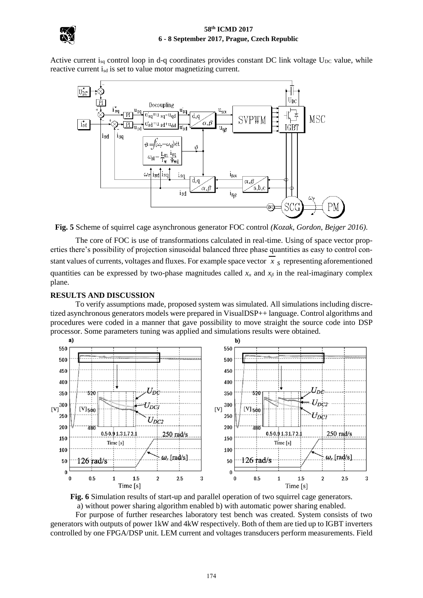

Active current i<sub>sq</sub> control loop in d-q coordinates provides constant DC link voltage  $U_{DC}$  value, while reactive current i<sub>sd</sub> is set to value motor magnetizing current.



**Fig. 5** Scheme of squirrel cage asynchronous generator FOC control *(Kozak, Gordon, Bejger 2016)*.

The core of FOC is use of transformations calculated in real-time. Using of space vector properties there's possibility of projection sinusoidal balanced three phase quantities as easy to control constant values of currents, voltages and fluxes. For example space vector *x s* representing aforementioned quantities can be expressed by two-phase magnitudes called  $x_\alpha$  and  $x_\beta$  in the real-imaginary complex plane.

# **RESULTS AND DISCUSSION**

To verify assumptions made, proposed system was simulated. All simulations including discretized asynchronous generators models were prepared in VisualDSP++ language. Control algorithms and procedures were coded in a manner that gave possibility to move straight the source code into DSP processor. Some parameters tuning was applied and simulations results were obtained.



**Fig. 6** Simulation results of start-up and parallel operation of two squirrel cage generators. a) without power sharing algorithm enabled b) with automatic power sharing enabled.

For purpose of further researches laboratory test bench was created. System consists of two generators with outputs of power 1kW and 4kW respectively. Both of them are tied up to IGBT inverters controlled by one FPGA/DSP unit. LEM current and voltages transducers perform measurements. Field